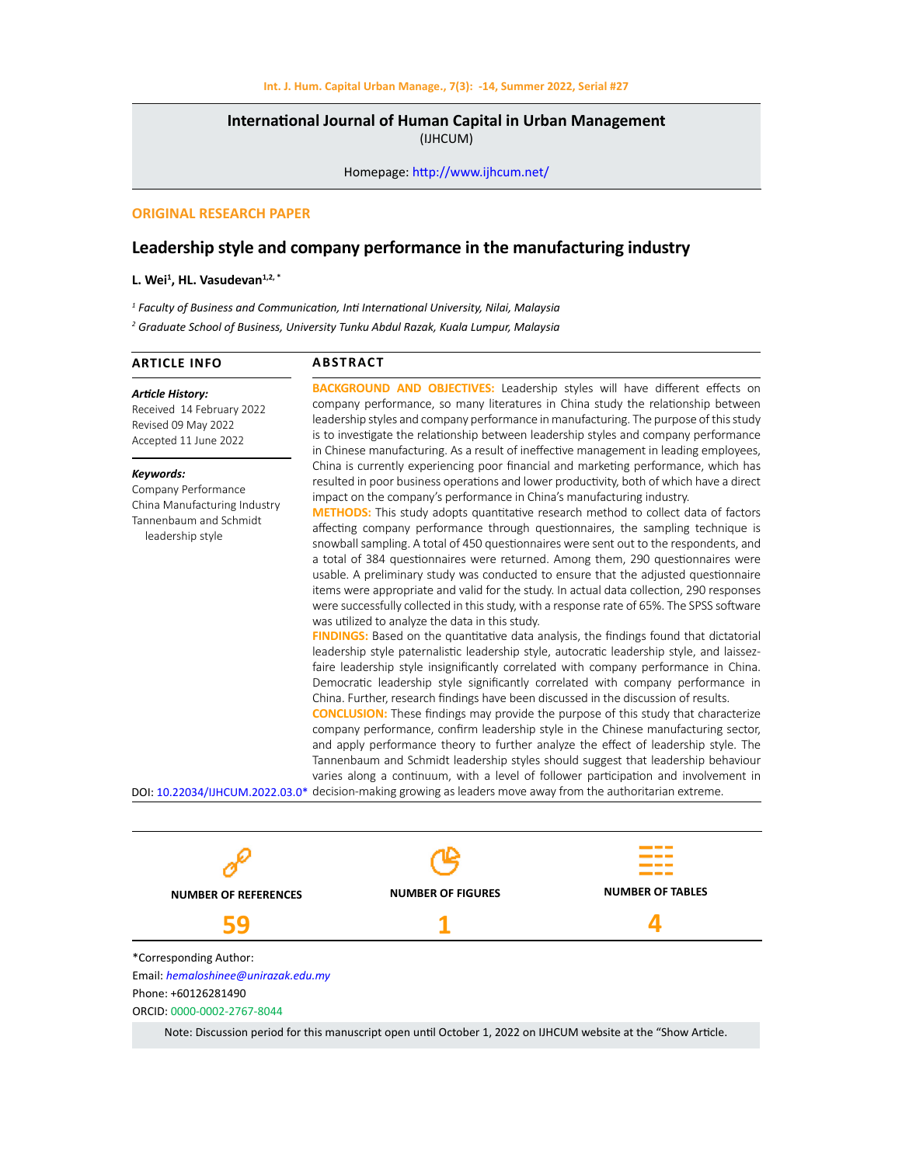## **International Journal of Human Capital in Urban Management**  (IJHCUM)

Homepage: http://www.ijhcum.net/

## **ORIGINAL RESEARCH PAPER**

# **Leadership style and company performance in the manufacturing industry**

#### **L. Wei1 , HL. Vasudevan1,2, \***

*1 Faculty of Business and Communication, Inti International University, Nilai, Malaysia*

*2 Graduate School of Business, University Tunku Abdul Razak, Kuala Lumpur, Malaysia*

#### **ARTICLE INFO**

### **ABSTRACT**

*Article History:* Received 14 February 2022 Revised 09 May 2022 Accepted 11 June 2022

*Keywords:*

Company Performance China Manufacturing Industry Tannenbaum and Schmidt leadership style

**BACKGROUND AND OBJECTIVES:** Leadership styles will have different effects on company performance, so many literatures in China study the relationship between leadership styles and company performance in manufacturing. The purpose of this study is to investigate the relationship between leadership styles and company performance in Chinese manufacturing. As a result of ineffective management in leading employees, China is currently experiencing poor financial and marketing performance, which has resulted in poor business operations and lower productivity, both of which have a direct impact on the company's performance in China's manufacturing industry.

**METHODS:** This study adopts quantitative research method to collect data of factors affecting company performance through questionnaires, the sampling technique is snowball sampling. A total of 450 questionnaires were sent out to the respondents, and a total of 384 questionnaires were returned. Among them, 290 questionnaires were usable. A preliminary study was conducted to ensure that the adjusted questionnaire items were appropriate and valid for the study. In actual data collection, 290 responses were successfully collected in this study, with a response rate of 65%. The SPSS software was utilized to analyze the data in this study.

**FINDINGS:** Based on the quantitative data analysis, the findings found that dictatorial leadership style paternalistic leadership style, autocratic leadership style, and laissezfaire leadership style insignificantly correlated with company performance in China. Democratic leadership style significantly correlated with company performance in China. Further, research findings have been discussed in the discussion of results.

**CONCLUSION:** These findings may provide the purpose of this study that characterize company performance, confirm leadership style in the Chinese manufacturing sector, and apply performance theory to further analyze the effect of leadership style. The Tannenbaum and Schmidt leadership styles should suggest that leadership behaviour varies along a continuum, with a level of follower participation and involvement in DOI: 10.22034/IJHCUM.2022.03.0\* decision-making growing as leaders move away from the authoritarian extreme.



Note: Discussion period for this manuscript open until October 1, 2022 on IJHCUM website at the "Show Article.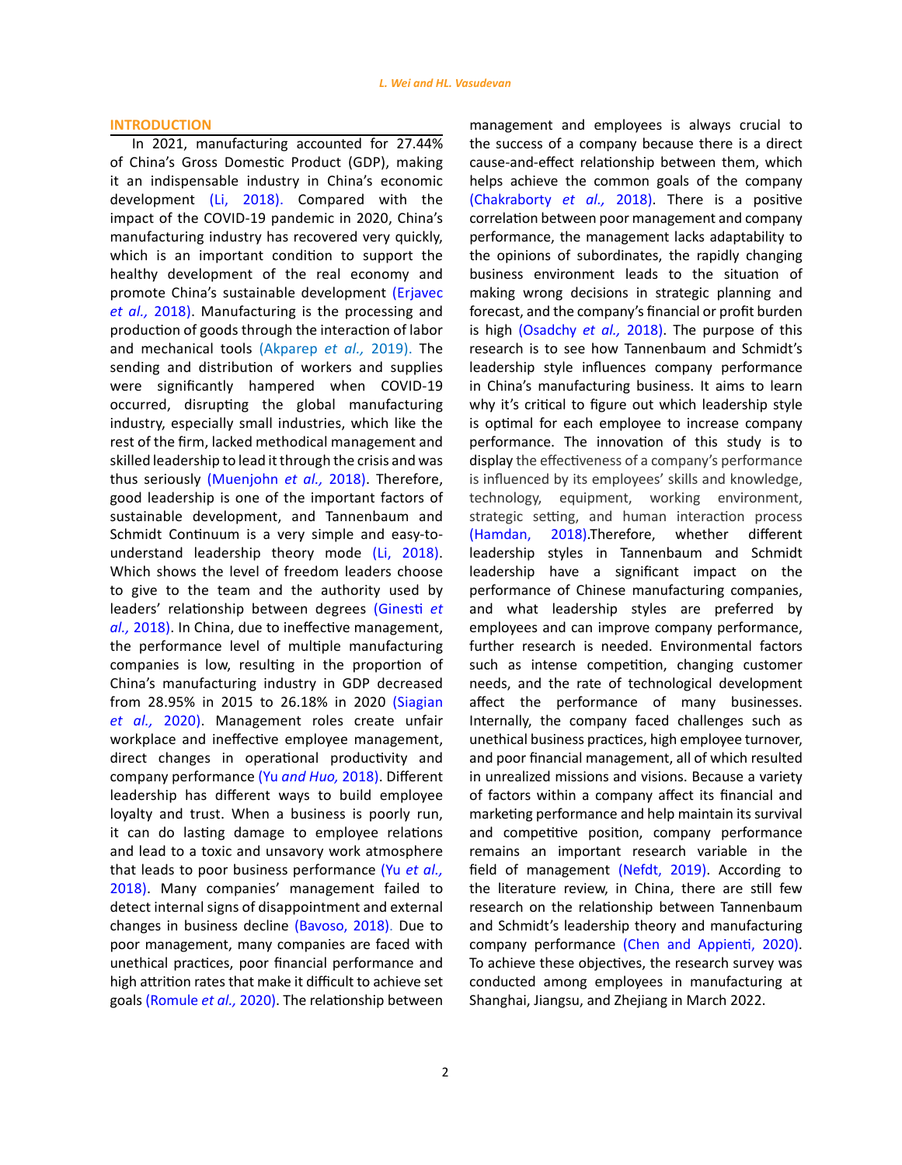### **INTRODUCTION**

In 2021, manufacturing accounted for 27.44% of China's Gross Domestic Product (GDP), making it an indispensable industry in China's economic development (Li, 2018). Compared with the impact of the COVID-19 pandemic in 2020, China's manufacturing industry has recovered very quickly, which is an important condition to support the healthy development of the real economy and promote China's sustainable development (Erjavec *et al.,* 2018). Manufacturing is the processing and production of goods through the interaction of labor and mechanical tools (Akparep *et al.,* 2019). The sending and distribution of workers and supplies were significantly hampered when COVID-19 occurred, disrupting the global manufacturing industry, especially small industries, which like the rest of the firm, lacked methodical management and skilled leadership to lead it through the crisis and was thus seriously (Muenjohn *et al.,* 2018). Therefore, good leadership is one of the important factors of sustainable development, and Tannenbaum and Schmidt Continuum is a very simple and easy-tounderstand leadership theory mode (Li, 2018). Which shows the level of freedom leaders choose to give to the team and the authority used by leaders' relationship between degrees (Ginesti *et al.,* 2018). In China, due to ineffective management, the performance level of multiple manufacturing companies is low, resulting in the proportion of China's manufacturing industry in GDP decreased from 28.95% in 2015 to 26.18% in 2020 (Siagian *et al.,* 2020). Management roles create unfair workplace and ineffective employee management, direct changes in operational productivity and company performance (Yu *and Huo,* 2018). Different leadership has different ways to build employee loyalty and trust. When a business is poorly run, it can do lasting damage to employee relations and lead to a toxic and unsavory work atmosphere that leads to poor business performance (Yu *et al.,* 2018). Many companies' management failed to detect internal signs of disappointment and external changes in business decline (Bavoso, 2018). Due to poor management, many companies are faced with unethical practices, poor financial performance and high attrition rates that make it difficult to achieve set goals (Romule *et al.,* 2020). The relationship between

2

management and employees is always crucial to the success of a company because there is a direct cause-and-effect relationship between them, which helps achieve the common goals of the company (Chakraborty *et al.,* 2018). There is a positive correlation between poor management and company performance, the management lacks adaptability to the opinions of subordinates, the rapidly changing business environment leads to the situation of making wrong decisions in strategic planning and forecast, and the company's financial or profit burden is high (Osadchy *et al.,* 2018). The purpose of this research is to see how Tannenbaum and Schmidt's leadership style influences company performance in China's manufacturing business. It aims to learn why it's critical to figure out which leadership style is optimal for each employee to increase company performance. The innovation of this study is to display the effectiveness of a company's performance is influenced by its employees' skills and knowledge, technology, equipment, working environment, strategic setting, and human interaction process (Hamdan, 2018).Therefore, whether different leadership styles in Tannenbaum and Schmidt leadership have a significant impact on the performance of Chinese manufacturing companies, and what leadership styles are preferred by employees and can improve company performance, further research is needed. Environmental factors such as intense competition, changing customer needs, and the rate of technological development affect the performance of many businesses. Internally, the company faced challenges such as unethical business practices, high employee turnover, and poor financial management, all of which resulted in unrealized missions and visions. Because a variety of factors within a company affect its financial and marketing performance and help maintain its survival and competitive position, company performance remains an important research variable in the field of management (Nefdt, 2019). According to the literature review, in China, there are still few research on the relationship between Tannenbaum and Schmidt's leadership theory and manufacturing company performance (Chen and Appienti, 2020). To achieve these objectives, the research survey was conducted among employees in manufacturing at Shanghai, Jiangsu, and Zhejiang in March 2022.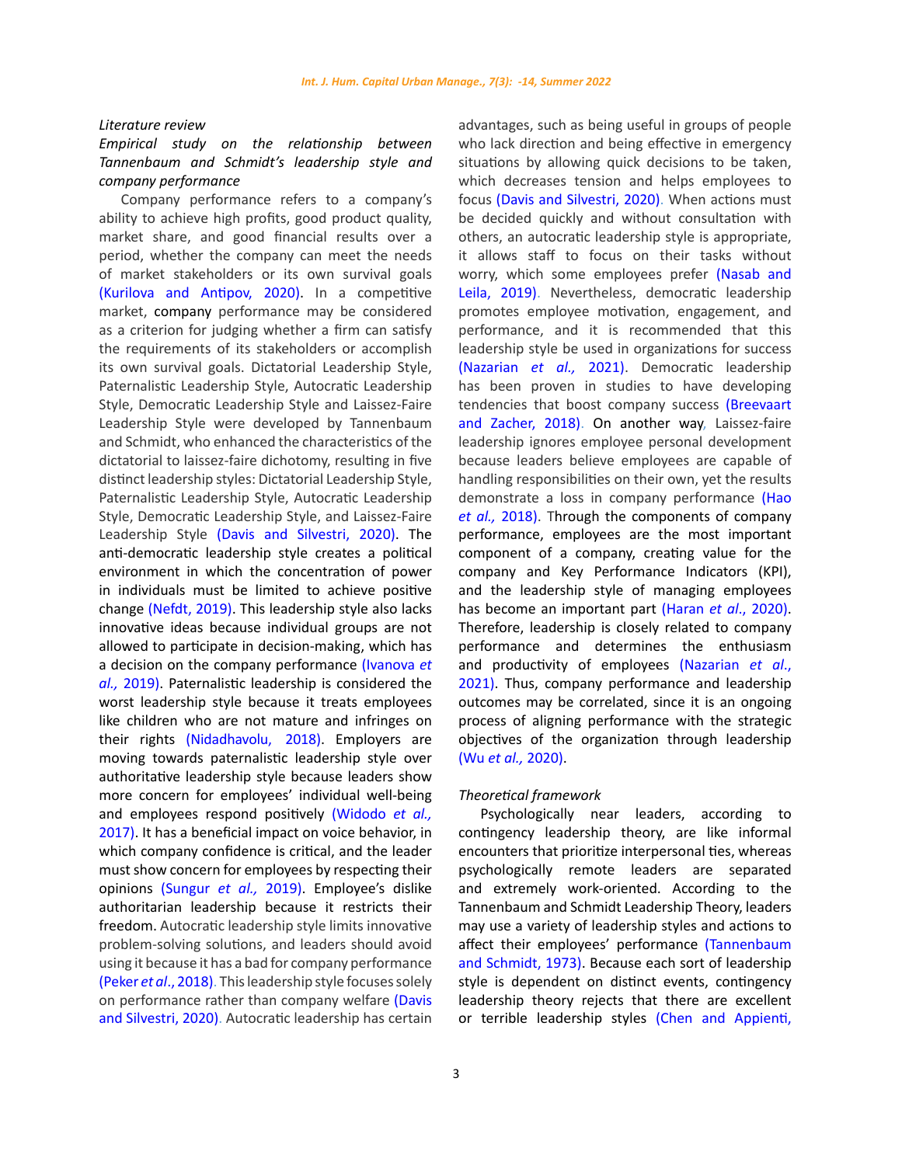*Literature review*

# *Empirical study on the relationship between Tannenbaum and Schmidt's leadership style and company performance*

Company performance refers to a company's ability to achieve high profits, good product quality, market share, and good financial results over a period, whether the company can meet the needs of market stakeholders or its own survival goals (Kurilova and Antipov, 2020). In a competitive market, company performance may be considered as a criterion for judging whether a firm can satisfy the requirements of its stakeholders or accomplish its own survival goals. Dictatorial Leadership Style, Paternalistic Leadership Style, Autocratic Leadership Style, Democratic Leadership Style and Laissez-Faire Leadership Style were developed by Tannenbaum and Schmidt, who enhanced the characteristics of the dictatorial to laissez-faire dichotomy, resulting in five distinct leadership styles: Dictatorial Leadership Style, Paternalistic Leadership Style, Autocratic Leadership Style, Democratic Leadership Style, and Laissez-Faire Leadership Style (Davis and Silvestri, 2020). The anti-democratic leadership style creates a political environment in which the concentration of power in individuals must be limited to achieve positive change (Nefdt, 2019). This leadership style also lacks innovative ideas because individual groups are not allowed to participate in decision-making, which has a decision on the company performance (Ivanova *et al.,* 2019). Paternalistic leadership is considered the worst leadership style because it treats employees like children who are not mature and infringes on their rights (Nidadhavolu, 2018). Employers are moving towards paternalistic leadership style over authoritative leadership style because leaders show more concern for employees' individual well-being and employees respond positively (Widodo *et al.,* 2017). It has a beneficial impact on voice behavior, in which company confidence is critical, and the leader must show concern for employees by respecting their opinions (Sungur *et al.,* 2019). Employee's dislike authoritarian leadership because it restricts their freedom. Autocratic leadership style limits innovative problem-solving solutions, and leaders should avoid using it because it has a bad for company performance (Peker *et al*., 2018). This leadership style focuses solely on performance rather than company welfare (Davis and Silvestri, 2020). Autocratic leadership has certain advantages, such as being useful in groups of people who lack direction and being effective in emergency situations by allowing quick decisions to be taken, which decreases tension and helps employees to focus (Davis and Silvestri, 2020). When actions must be decided quickly and without consultation with others, an autocratic leadership style is appropriate, it allows staff to focus on their tasks without worry, which some employees prefer (Nasab and Leila, 2019). Nevertheless, democratic leadership promotes employee motivation, engagement, and performance, and it is recommended that this leadership style be used in organizations for success (Nazarian *et al.,* 2021). Democratic leadership has been proven in studies to have developing tendencies that boost company success (Breevaart and Zacher, 2018). On another way, Laissez-faire leadership ignores employee personal development because leaders believe employees are capable of handling responsibilities on their own, yet the results demonstrate a loss in company performance (Hao *et al.,* 2018). Through the components of company performance, employees are the most important component of a company, creating value for the company and Key Performance Indicators (KPI), and the leadership style of managing employees has become an important part (Haran *et al*., 2020). Therefore, leadership is closely related to company performance and determines the enthusiasm and productivity of employees (Nazarian *et al*., 2021). Thus, company performance and leadership outcomes may be correlated, since it is an ongoing process of aligning performance with the strategic objectives of the organization through leadership (Wu *et al.,* 2020).

### *Theoretical framework*

Psychologically near leaders, according to contingency leadership theory, are like informal encounters that prioritize interpersonal ties, whereas psychologically remote leaders are separated and extremely work-oriented. According to the Tannenbaum and Schmidt Leadership Theory, leaders may use a variety of leadership styles and actions to affect their employees' performance (Tannenbaum and Schmidt, 1973). Because each sort of leadership style is dependent on distinct events, contingency leadership theory rejects that there are excellent or terrible leadership styles (Chen and Appienti,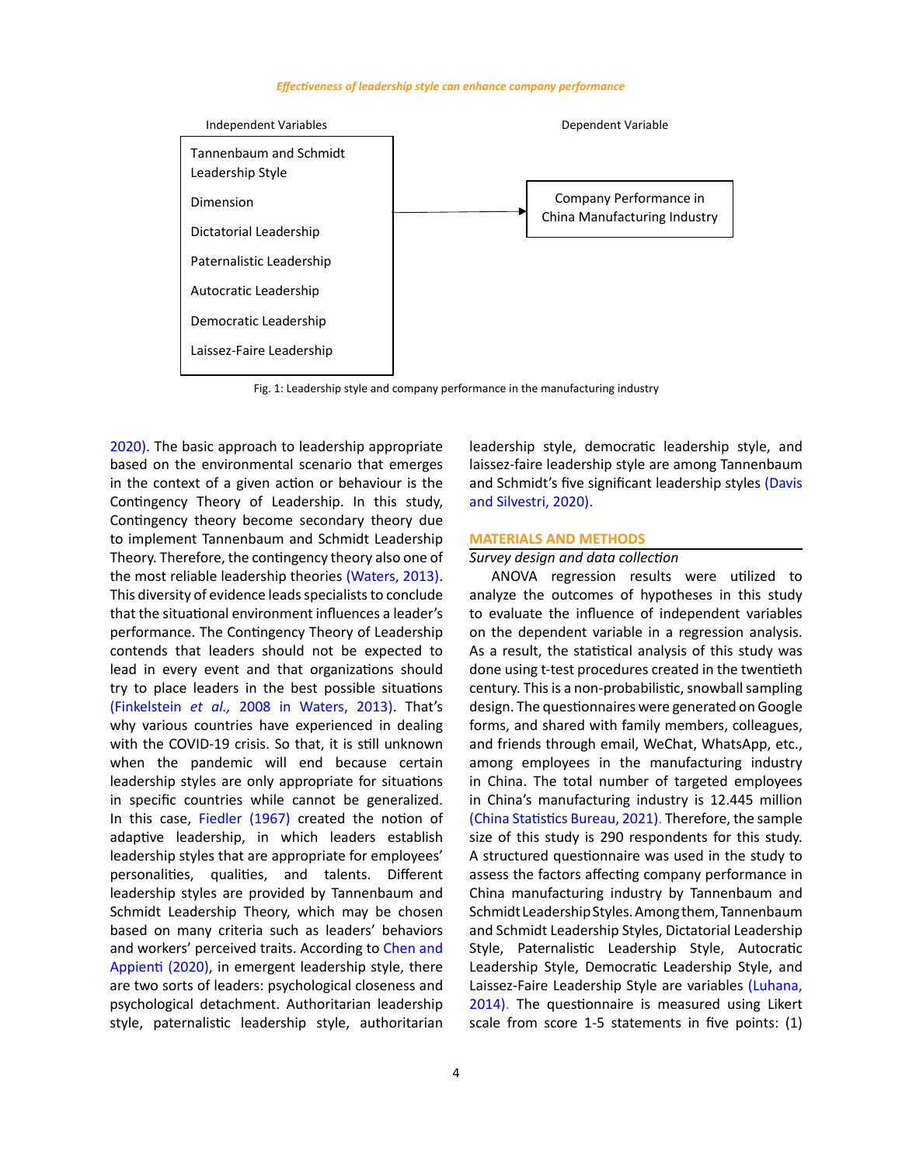#### *Effectiveness of leadership style can enhance company performance*



Fig. 1: Leadership style and company performance in the manufacturing industry

2020). The basic approach to leadership appropriate based on the environmental scenario that emerges in the context of a given action or behaviour is the Contingency Theory of Leadership. In this study, Contingency theory become secondary theory due to implement Tannenbaum and Schmidt Leadership Theory. Therefore, the contingency theory also one of the most reliable leadership theories (Waters, 2013). This diversity of evidence leads specialists to conclude that the situational environment influences a leader's performance. The Contingency Theory of Leadership contends that leaders should not be expected to lead in every event and that organizations should try to place leaders in the best possible situations (Finkelstein *et al.,* 2008 in Waters, 2013). That's why various countries have experienced in dealing with the COVID-19 crisis. So that, it is still unknown when the pandemic will end because certain leadership styles are only appropriate for situations in specific countries while cannot be generalized. In this case, Fiedler (1967) created the notion of adaptive leadership, in which leaders establish leadership styles that are appropriate for employees' personalities, qualities, and talents. Different leadership styles are provided by Tannenbaum and Schmidt Leadership Theory, which may be chosen based on many criteria such as leaders' behaviors and workers' perceived traits. According to Chen and Appienti (2020), in emergent leadership style, there are two sorts of leaders: psychological closeness and psychological detachment. Authoritarian leadership style, paternalistic leadership style, authoritarian

leadership style, democratic leadership style, and laissez-faire leadership style are among Tannenbaum and Schmidt's five significant leadership styles (Davis and Silvestri, 2020).

## **MATERIALS AND METHODS**

#### *Survey design and data collection*

ANOVA regression results were utilized to analyze the outcomes of hypotheses in this study to evaluate the influence of independent variables on the dependent variable in a regression analysis. As a result, the statistical analysis of this study was done using t-test procedures created in the twentieth century. This is a non-probabilistic, snowball sampling design. The questionnaires were generated on Google forms, and shared with family members, colleagues, and friends through email, WeChat, WhatsApp, etc., among employees in the manufacturing industry in China. The total number of targeted employees in China's manufacturing industry is 12.445 million (China Statistics Bureau, 2021). Therefore, the sample size of this study is 290 respondents for this study. A structured questionnaire was used in the study to assess the factors affecting company performance in China manufacturing industry by Tannenbaum and Schmidt Leadership Styles. Among them, Tannenbaum and Schmidt Leadership Styles, Dictatorial Leadership Style, Paternalistic Leadership Style, Autocratic Leadership Style, Democratic Leadership Style, and Laissez-Faire Leadership Style are variables (Luhana, 2014). The questionnaire is measured using Likert scale from score 1-5 statements in five points: (1)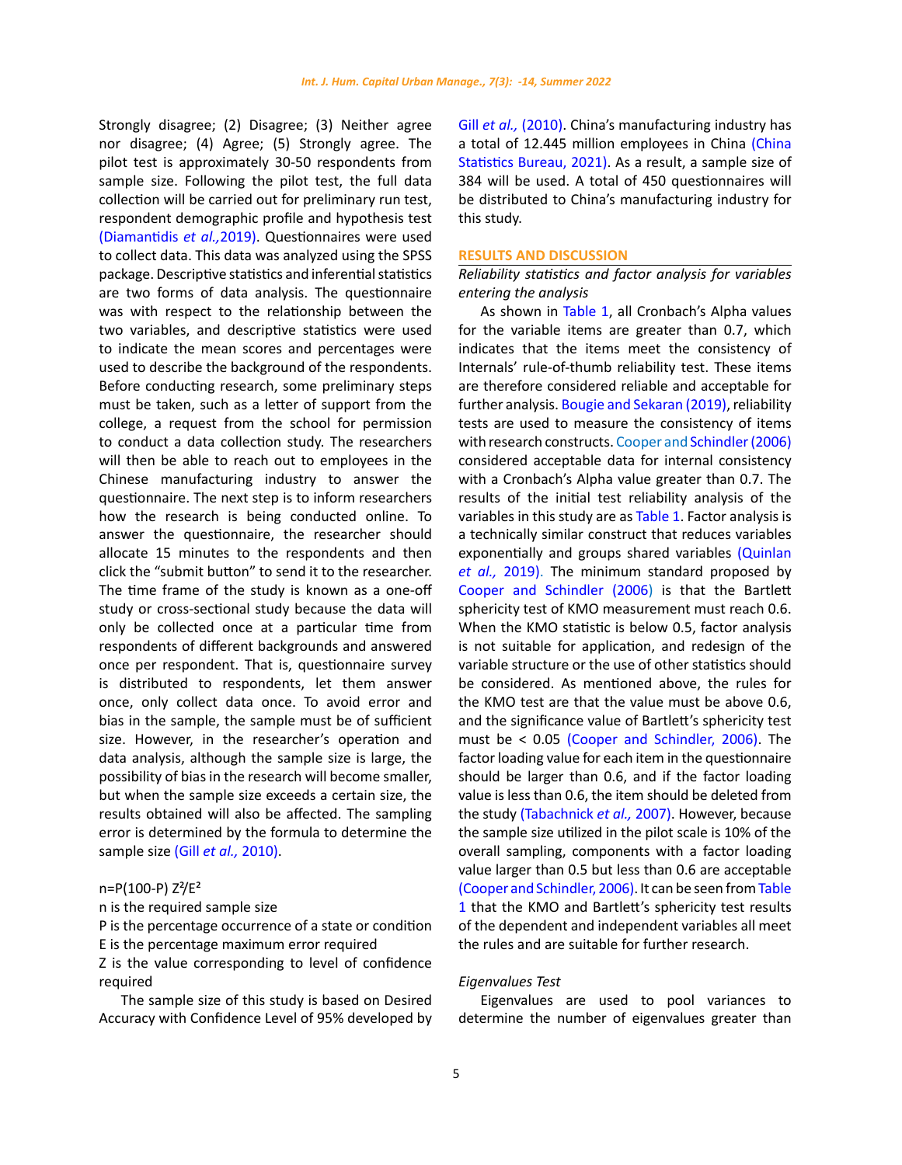Strongly disagree; (2) Disagree; (3) Neither agree nor disagree; (4) Agree; (5) Strongly agree. The pilot test is approximately 30-50 respondents from sample size. Following the pilot test, the full data collection will be carried out for preliminary run test, respondent demographic profile and hypothesis test (Diamantidis *et al.,*2019). Questionnaires were used to collect data. This data was analyzed using the SPSS package. Descriptive statistics and inferential statistics are two forms of data analysis. The questionnaire was with respect to the relationship between the two variables, and descriptive statistics were used to indicate the mean scores and percentages were used to describe the background of the respondents. Before conducting research, some preliminary steps must be taken, such as a letter of support from the college, a request from the school for permission to conduct a data collection study. The researchers will then be able to reach out to employees in the Chinese manufacturing industry to answer the questionnaire. The next step is to inform researchers how the research is being conducted online. To answer the questionnaire, the researcher should allocate 15 minutes to the respondents and then click the "submit button" to send it to the researcher. The time frame of the study is known as a one-off study or cross-sectional study because the data will only be collected once at a particular time from respondents of different backgrounds and answered once per respondent. That is, questionnaire survey is distributed to respondents, let them answer once, only collect data once. To avoid error and bias in the sample, the sample must be of sufficient size. However, in the researcher's operation and data analysis, although the sample size is large, the possibility of bias in the research will become smaller, but when the sample size exceeds a certain size, the results obtained will also be affected. The sampling error is determined by the formula to determine the sample size (Gill *et al.,* 2010).

# n=P(100-P) Z²/E²

n is the required sample size

P is the percentage occurrence of a state or condition E is the percentage maximum error required

Z is the value corresponding to level of confidence required

The sample size of this study is based on Desired Accuracy with Confidence Level of 95% developed by Gill *et al.*, (2010). China's manufacturing industry has a total of 12.445 million employees in China (China Statistics Bureau, 2021). As a result, a sample size of 384 will be used. A total of 450 questionnaires will be distributed to China's manufacturing industry for this study.

## **RESULTS AND DISCUSSION**

# *Reliability statistics and factor analysis for variables entering the analysis*

As shown in Table 1, all Cronbach's Alpha values for the variable items are greater than 0.7, which indicates that the items meet the consistency of Internals' rule-of-thumb reliability test. These items are therefore considered reliable and acceptable for further analysis. Bougie and Sekaran (2019), reliability tests are used to measure the consistency of items with research constructs. Cooper and Schindler (2006) considered acceptable data for internal consistency with a Cronbach's Alpha value greater than 0.7. The results of the initial test reliability analysis of the variables in this study are as Table 1. Factor analysis is a technically similar construct that reduces variables exponentially and groups shared variables (Quinlan *et al.,* 2019). The minimum standard proposed by Cooper and Schindler (2006) is that the Bartlett sphericity test of KMO measurement must reach 0.6. When the KMO statistic is below 0.5, factor analysis is not suitable for application, and redesign of the variable structure or the use of other statistics should be considered. As mentioned above, the rules for the KMO test are that the value must be above 0.6, and the significance value of Bartlett's sphericity test must be < 0.05 (Cooper and Schindler, 2006). The factor loading value for each item in the questionnaire should be larger than 0.6, and if the factor loading value is less than 0.6, the item should be deleted from the study (Tabachnick *et al.,* 2007). However, because the sample size utilized in the pilot scale is 10% of the overall sampling, components with a factor loading value larger than 0.5 but less than 0.6 are acceptable (Cooper and Schindler, 2006). It can be seen from Table 1 that the KMO and Bartlett's sphericity test results of the dependent and independent variables all meet the rules and are suitable for further research.

### *Eigenvalues Test*

Eigenvalues are used to pool variances to determine the number of eigenvalues greater than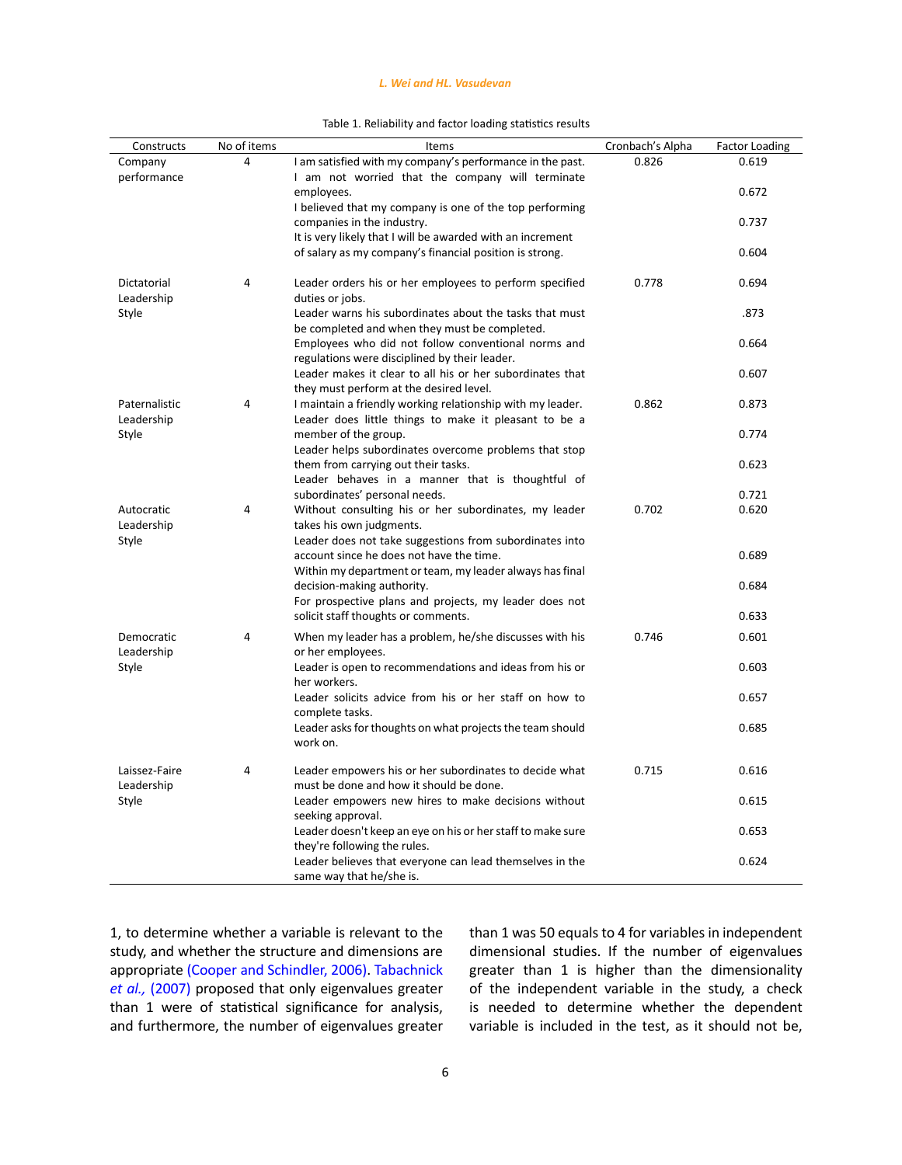## *L. Wei and HL. Vasudevan*

| Table 1. Reliability and factor loading statistics results |  |
|------------------------------------------------------------|--|
|                                                            |  |

| Constructs                  | No of items | Items                                                                                                               | Cronbach's Alpha | <b>Factor Loading</b> |
|-----------------------------|-------------|---------------------------------------------------------------------------------------------------------------------|------------------|-----------------------|
| Company                     | 4           | I am satisfied with my company's performance in the past.                                                           | 0.826            | 0.619                 |
| performance                 |             | I am not worried that the company will terminate<br>employees.                                                      |                  | 0.672                 |
|                             |             | I believed that my company is one of the top performing<br>companies in the industry.                               |                  | 0.737                 |
|                             |             | It is very likely that I will be awarded with an increment                                                          |                  |                       |
|                             |             | of salary as my company's financial position is strong.                                                             |                  | 0.604                 |
| Dictatorial<br>Leadership   | 4           | Leader orders his or her employees to perform specified<br>duties or jobs.                                          | 0.778            | 0.694                 |
| Style                       |             | Leader warns his subordinates about the tasks that must<br>be completed and when they must be completed.            |                  | .873                  |
|                             |             | Employees who did not follow conventional norms and<br>regulations were disciplined by their leader.                |                  | 0.664                 |
|                             |             | Leader makes it clear to all his or her subordinates that<br>they must perform at the desired level.                |                  | 0.607                 |
| Paternalistic<br>Leadership | 4           | I maintain a friendly working relationship with my leader.<br>Leader does little things to make it pleasant to be a | 0.862            | 0.873                 |
| Style                       |             | member of the group.<br>Leader helps subordinates overcome problems that stop                                       |                  | 0.774                 |
|                             |             | them from carrying out their tasks.                                                                                 |                  | 0.623                 |
|                             |             | Leader behaves in a manner that is thoughtful of<br>subordinates' personal needs.                                   |                  | 0.721                 |
| Autocratic                  | 4           | Without consulting his or her subordinates, my leader                                                               | 0.702            | 0.620                 |
| Leadership                  |             | takes his own judgments.                                                                                            |                  |                       |
| Style                       |             | Leader does not take suggestions from subordinates into<br>account since he does not have the time.                 |                  | 0.689                 |
|                             |             | Within my department or team, my leader always has final<br>decision-making authority.                              |                  | 0.684                 |
|                             |             | For prospective plans and projects, my leader does not<br>solicit staff thoughts or comments.                       |                  | 0.633                 |
| Democratic                  | 4           | When my leader has a problem, he/she discusses with his                                                             | 0.746            | 0.601                 |
| Leadership<br>Style         |             | or her employees.<br>Leader is open to recommendations and ideas from his or                                        |                  | 0.603                 |
|                             |             | her workers.<br>Leader solicits advice from his or her staff on how to                                              |                  | 0.657                 |
|                             |             | complete tasks.<br>Leader asks for thoughts on what projects the team should                                        |                  | 0.685                 |
|                             |             | work on.                                                                                                            |                  |                       |
| Laissez-Faire<br>Leadership | 4           | Leader empowers his or her subordinates to decide what<br>must be done and how it should be done.                   | 0.715            | 0.616                 |
| Style                       |             | Leader empowers new hires to make decisions without<br>seeking approval.                                            |                  | 0.615                 |
|                             |             | Leader doesn't keep an eye on his or her staff to make sure<br>they're following the rules.                         |                  | 0.653                 |
|                             |             | Leader believes that everyone can lead themselves in the<br>same way that he/she is.                                |                  | 0.624                 |

1, to determine whether a variable is relevant to the study, and whether the structure and dimensions are appropriate (Cooper and Schindler, 2006). Tabachnick *et al.,* (2007) proposed that only eigenvalues greater than 1 were of statistical significance for analysis, and furthermore, the number of eigenvalues greater

than 1 was 50 equals to 4 for variables in independent dimensional studies. If the number of eigenvalues greater than 1 is higher than the dimensionality of the independent variable in the study, a check is needed to determine whether the dependent variable is included in the test, as it should not be,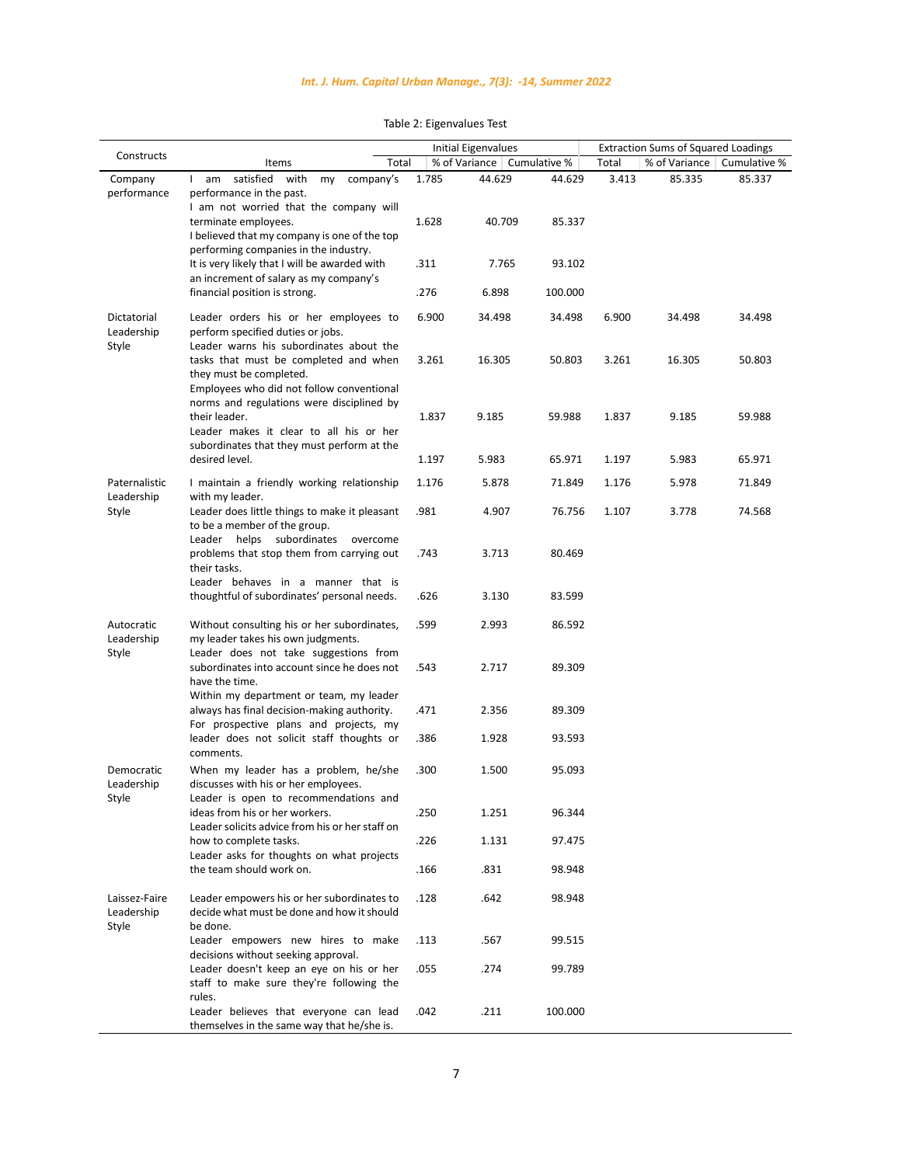| Constructs                           |                                                                                                                                                            |       | <b>Initial Eigenvalues</b> |                              |       | <b>Extraction Sums of Squared Loadings</b> |              |
|--------------------------------------|------------------------------------------------------------------------------------------------------------------------------------------------------------|-------|----------------------------|------------------------------|-------|--------------------------------------------|--------------|
|                                      | Items<br>Total                                                                                                                                             |       |                            | % of Variance   Cumulative % | Total | % of Variance                              | Cumulative % |
| Company<br>performance               | satisfied with<br>company's<br>am<br>my<br>$\mathbf{L}$<br>performance in the past.                                                                        | 1.785 | 44.629                     | 44.629                       | 3.413 | 85.335                                     | 85.337       |
|                                      | I am not worried that the company will<br>terminate employees.<br>I believed that my company is one of the top<br>performing companies in the industry.    | 1.628 | 40.709                     | 85.337                       |       |                                            |              |
|                                      | It is very likely that I will be awarded with<br>an increment of salary as my company's                                                                    | .311  | 7.765                      | 93.102                       |       |                                            |              |
|                                      | financial position is strong.                                                                                                                              | .276  | 6.898                      | 100.000                      |       |                                            |              |
| Dictatorial<br>Leadership<br>Style   | Leader orders his or her employees to<br>perform specified duties or jobs.<br>Leader warns his subordinates about the                                      | 6.900 | 34.498                     | 34.498                       | 6.900 | 34.498                                     | 34.498       |
|                                      | tasks that must be completed and when<br>they must be completed.<br>Employees who did not follow conventional<br>norms and regulations were disciplined by | 3.261 | 16.305                     | 50.803                       | 3.261 | 16.305                                     | 50.803       |
|                                      | their leader.<br>Leader makes it clear to all his or her<br>subordinates that they must perform at the                                                     | 1.837 | 9.185                      | 59.988                       | 1.837 | 9.185                                      | 59.988       |
|                                      | desired level.                                                                                                                                             | 1.197 | 5.983                      | 65.971                       | 1.197 | 5.983                                      | 65.971       |
| Paternalistic<br>Leadership          | I maintain a friendly working relationship<br>with my leader.                                                                                              | 1.176 | 5.878                      | 71.849                       | 1.176 | 5.978                                      | 71.849       |
| Style                                | Leader does little things to make it pleasant<br>to be a member of the group.<br>Leader helps subordinates overcome                                        | .981  | 4.907                      | 76.756                       | 1.107 | 3.778                                      | 74.568       |
|                                      | problems that stop them from carrying out<br>their tasks.                                                                                                  | .743  | 3.713                      | 80.469                       |       |                                            |              |
|                                      | Leader behaves in a manner that is<br>thoughtful of subordinates' personal needs.                                                                          | .626  | 3.130                      | 83.599                       |       |                                            |              |
| Autocratic<br>Leadership<br>Style    | Without consulting his or her subordinates,<br>my leader takes his own judgments.<br>Leader does not take suggestions from                                 | .599  | 2.993                      | 86.592                       |       |                                            |              |
|                                      | subordinates into account since he does not<br>have the time.<br>Within my department or team, my leader                                                   | .543  | 2.717                      | 89.309                       |       |                                            |              |
|                                      | always has final decision-making authority.<br>For prospective plans and projects, my                                                                      | .471  | 2.356                      | 89.309                       |       |                                            |              |
|                                      | leader does not solicit staff thoughts or<br>comments.                                                                                                     | .386  | 1.928                      | 93.593                       |       |                                            |              |
| Democratic<br>Leadership<br>Style    | When my leader has a problem, he/she<br>discusses with his or her employees.<br>Leader is open to recommendations and                                      | .300  | 1.500                      | 95.093                       |       |                                            |              |
|                                      | ideas from his or her workers.<br>Leader solicits advice from his or her staff on                                                                          | .250  | 1.251                      | 96.344                       |       |                                            |              |
|                                      | how to complete tasks.<br>Leader asks for thoughts on what projects                                                                                        | .226  | 1.131                      | 97.475                       |       |                                            |              |
|                                      | the team should work on.                                                                                                                                   | .166  | .831                       | 98.948                       |       |                                            |              |
| Laissez-Faire<br>Leadership<br>Style | Leader empowers his or her subordinates to<br>decide what must be done and how it should<br>be done.                                                       | .128  | .642                       | 98.948                       |       |                                            |              |
|                                      | Leader empowers new hires to make<br>decisions without seeking approval.                                                                                   | .113  | .567                       | 99.515                       |       |                                            |              |
|                                      | Leader doesn't keep an eye on his or her<br>staff to make sure they're following the<br>rules.                                                             | .055  | .274                       | 99.789                       |       |                                            |              |
|                                      | Leader believes that everyone can lead<br>themselves in the same way that he/she is.                                                                       | .042  | .211                       | 100.000                      |       |                                            |              |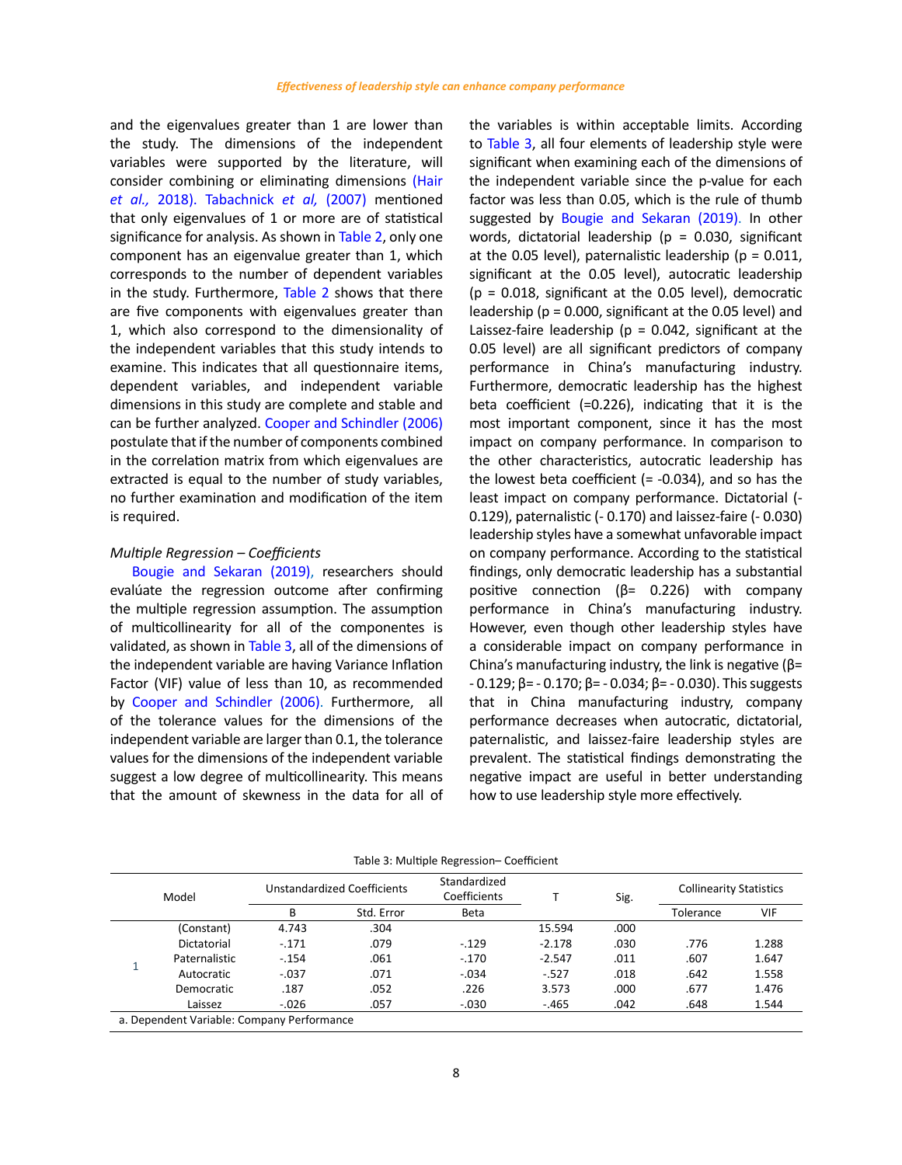and the eigenvalues greater than 1 are lower than the study. The dimensions of the independent variables were supported by the literature, will consider combining or eliminating dimensions (Hair *et al.,* 2018). Tabachnick *et al,* (2007) mentioned that only eigenvalues of 1 or more are of statistical significance for analysis. As shown in Table 2, only one component has an eigenvalue greater than 1, which corresponds to the number of dependent variables in the study. Furthermore, Table 2 shows that there are five components with eigenvalues greater than 1, which also correspond to the dimensionality of the independent variables that this study intends to examine. This indicates that all questionnaire items, dependent variables, and independent variable dimensions in this study are complete and stable and can be further analyzed. Cooper and Schindler (2006) postulate that if the number of components combined in the correlation matrix from which eigenvalues are extracted is equal to the number of study variables, no further examination and modification of the item is required.

### *Multiple Regression – Coefficients*

Bougie and Sekaran (2019), researchers should evalúate the regression outcome after confirming the multiple regression assumption. The assumption of multicollinearity for all of the componentes is validated, as shown in Table 3, all of the dimensions of the independent variable are having Variance Inflation Factor (VIF) value of less than 10, as recommended by Cooper and Schindler (2006). Furthermore, all of the tolerance values for the dimensions of the independent variable are larger than 0.1, the tolerance values for the dimensions of the independent variable suggest a low degree of multicollinearity. This means that the amount of skewness in the data for all of

the variables is within acceptable limits. According to Table 3, all four elements of leadership style were significant when examining each of the dimensions of the independent variable since the p-value for each factor was less than 0.05, which is the rule of thumb suggested by Bougie and Sekaran (2019). In other words, dictatorial leadership ( $p = 0.030$ , significant at the 0.05 level), paternalistic leadership ( $p = 0.011$ , significant at the 0.05 level), autocratic leadership  $(p = 0.018,$  significant at the 0.05 level), democratic leadership (p = 0.000, significant at the 0.05 level) and Laissez-faire leadership ( $p = 0.042$ , significant at the 0.05 level) are all significant predictors of company performance in China's manufacturing industry. Furthermore, democratic leadership has the highest beta coefficient (=0.226), indicating that it is the most important component, since it has the most impact on company performance. In comparison to the other characteristics, autocratic leadership has the lowest beta coefficient  $(= -0.034)$ , and so has the least impact on company performance. Dictatorial (- 0.129), paternalistic (- 0.170) and laissez-faire (- 0.030) leadership styles have a somewhat unfavorable impact on company performance. According to the statistical findings, only democratic leadership has a substantial positive connection (β= 0.226) with company performance in China's manufacturing industry. However, even though other leadership styles have a considerable impact on company performance in China's manufacturing industry, the link is negative (β= - 0.129; β= - 0.170; β= - 0.034; β= - 0.030). This suggests that in China manufacturing industry, company performance decreases when autocratic, dictatorial, paternalistic, and laissez-faire leadership styles are prevalent. The statistical findings demonstrating the negative impact are useful in better understanding how to use leadership style more effectively.

| Model |                                            | Unstandardized Coefficients |            | Standardized<br>Coefficients |          | Sig. | <b>Collinearity Statistics</b> |       |
|-------|--------------------------------------------|-----------------------------|------------|------------------------------|----------|------|--------------------------------|-------|
|       |                                            | B                           | Std. Error | Beta                         |          |      | Tolerance                      | VIF   |
|       | (Constant)                                 | 4.743                       | .304       |                              | 15.594   | .000 |                                |       |
|       | Dictatorial                                | $-.171$                     | .079       | $-.129$                      | $-2.178$ | .030 | .776                           | 1.288 |
|       | Paternalistic                              | $-.154$                     | .061       | $-.170$                      | $-2.547$ | .011 | .607                           | 1.647 |
|       | Autocratic                                 | $-.037$                     | .071       | $-.034$                      | $-527$   | .018 | .642                           | 1.558 |
|       | Democratic                                 | .187                        | .052       | .226                         | 3.573    | .000 | .677                           | 1.476 |
|       | Laissez                                    | $-.026$                     | .057       | $-.030$                      | $-.465$  | .042 | .648                           | 1.544 |
|       | a. Dependent Variable: Company Performance |                             |            |                              |          |      |                                |       |

Table 3: Multiple Regression– Coefficient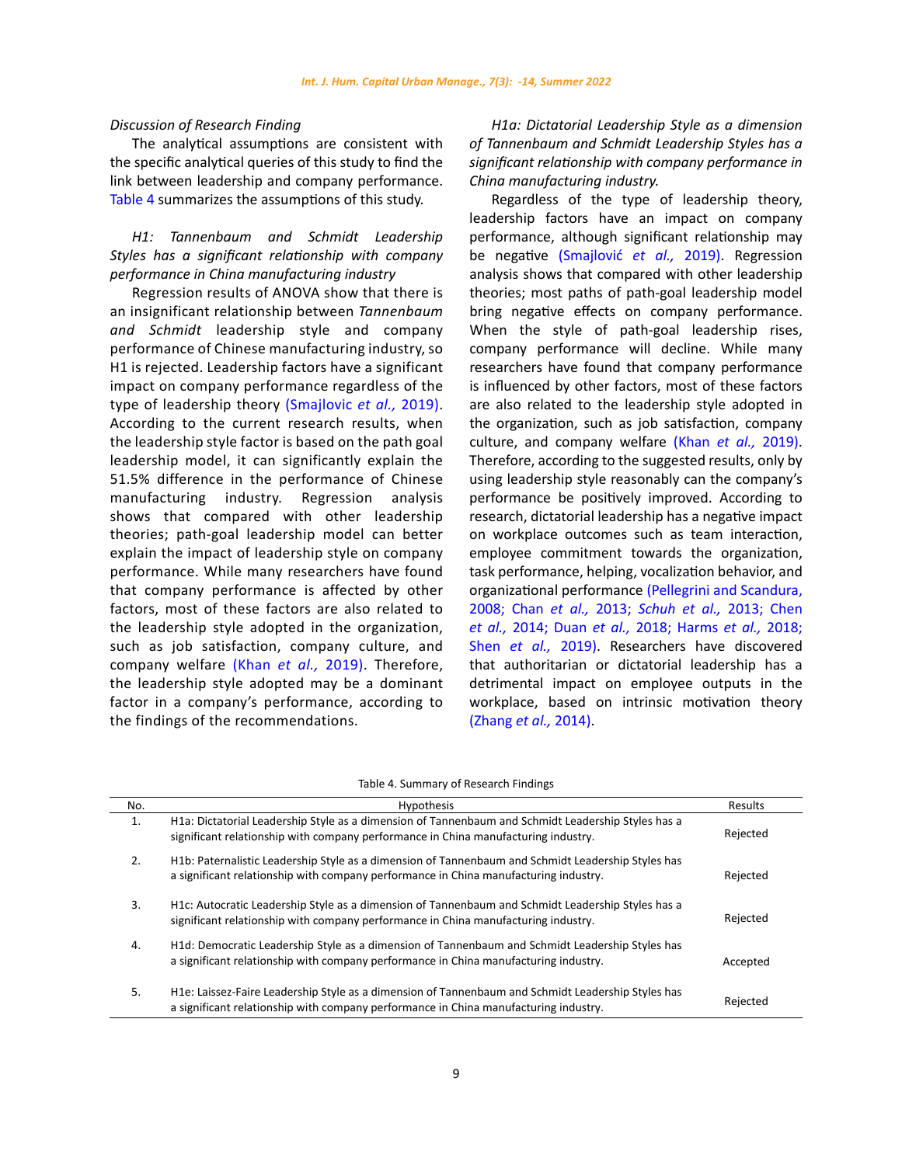## *Discussion of Research Finding*

The analytical assumptions are consistent with the specific analytical queries of this study to find the link between leadership and company performance. Table 4 summarizes the assumptions of this study.

# *H1: Tannenbaum and Schmidt Leadership Styles has a significant relationship with company performance in China manufacturing industry*

Regression results of ANOVA show that there is an insignificant relationship between *Tannenbaum and Schmidt* leadership style and company performance of Chinese manufacturing industry, so H1 is rejected. Leadership factors have a significant impact on company performance regardless of the type of leadership theory (Smajlovic *et al.,* 2019). According to the current research results, when the leadership style factor is based on the path goal leadership model, it can significantly explain the 51.5% difference in the performance of Chinese manufacturing industry. Regression analysis shows that compared with other leadership theories; path-goal leadership model can better explain the impact of leadership style on company performance. While many researchers have found that company performance is affected by other factors, most of these factors are also related to the leadership style adopted in the organization, such as job satisfaction, company culture, and company welfare (Khan *et al.,* 2019). Therefore, the leadership style adopted may be a dominant factor in a company's performance, according to the findings of the recommendations.

*H1a: Dictatorial Leadership Style as a dimension of Tannenbaum and Schmidt Leadership Styles has a significant relationship with company performance in China manufacturing industry.*

Regardless of the type of leadership theory, leadership factors have an impact on company performance, although significant relationship may be negative (Smajlović *et al.,* 2019). Regression analysis shows that compared with other leadership theories; most paths of path-goal leadership model bring negative effects on company performance. When the style of path-goal leadership rises, company performance will decline. While many researchers have found that company performance is influenced by other factors, most of these factors are also related to the leadership style adopted in the organization, such as job satisfaction, company culture, and company welfare (Khan *et al.,* 2019). Therefore, according to the suggested results, only by using leadership style reasonably can the company's performance be positively improved. According to research, dictatorial leadership has a negative impact on workplace outcomes such as team interaction, employee commitment towards the organization, task performance, helping, vocalization behavior, and organizational performance (Pellegrini and Scandura, 2008; Chan *et al.,* 2013; *Schuh et al.,* 2013; Chen *et al.,* 2014; Duan *et al.,* 2018; Harms *et al.,* 2018; Shen *et al.,* 2019). Researchers have discovered that authoritarian or dictatorial leadership has a detrimental impact on employee outputs in the workplace, based on intrinsic motivation theory (Zhang *et al.,* 2014).

Table 4. Summary of Research Findings

| No. | <b>Hypothesis</b>                                                                                                                                                                          | Results  |
|-----|--------------------------------------------------------------------------------------------------------------------------------------------------------------------------------------------|----------|
| 1.  | H1a: Dictatorial Leadership Style as a dimension of Tannenbaum and Schmidt Leadership Styles has a<br>significant relationship with company performance in China manufacturing industry.   | Rejected |
| 2.  | H1b: Paternalistic Leadership Style as a dimension of Tannenbaum and Schmidt Leadership Styles has<br>a significant relationship with company performance in China manufacturing industry. | Rejected |
| 3.  | H1c: Autocratic Leadership Style as a dimension of Tannenbaum and Schmidt Leadership Styles has a<br>significant relationship with company performance in China manufacturing industry.    | Rejected |
| 4.  | H1d: Democratic Leadership Style as a dimension of Tannenbaum and Schmidt Leadership Styles has<br>a significant relationship with company performance in China manufacturing industry.    | Accepted |
| 5.  | H1e: Laissez-Faire Leadership Style as a dimension of Tannenbaum and Schmidt Leadership Styles has<br>a significant relationship with company performance in China manufacturing industry. | Rejected |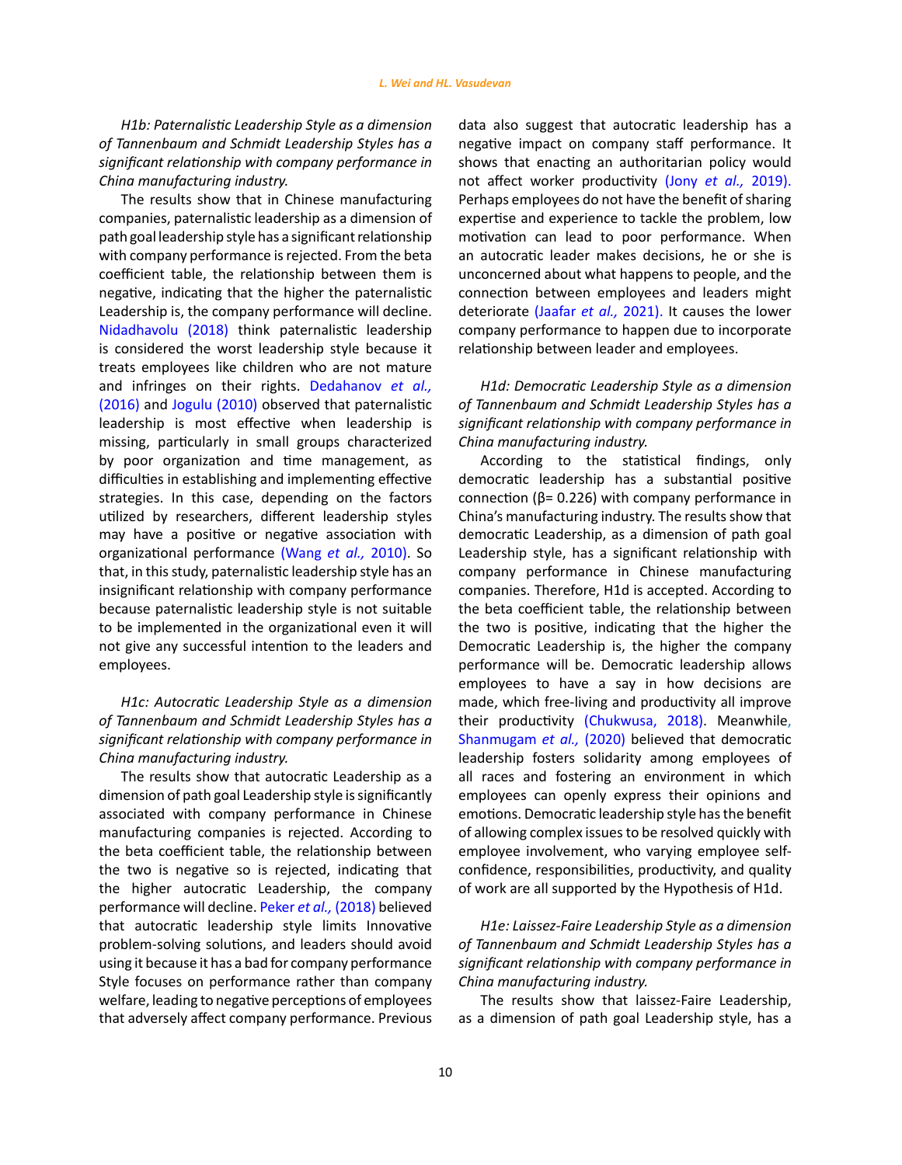*H1b: Paternalistic Leadership Style as a dimension of Tannenbaum and Schmidt Leadership Styles has a significant relationship with company performance in China manufacturing industry.*

The results show that in Chinese manufacturing companies, paternalistic leadership as a dimension of path goal leadership style has a significant relationship with company performance is rejected. From the beta coefficient table, the relationship between them is negative, indicating that the higher the paternalistic Leadership is, the company performance will decline. Nidadhavolu (2018) think paternalistic leadership is considered the worst leadership style because it treats employees like children who are not mature and infringes on their rights. Dedahanov *et al.,*  (2016) and Jogulu (2010) observed that paternalistic leadership is most effective when leadership is missing, particularly in small groups characterized by poor organization and time management, as difficulties in establishing and implementing effective strategies. In this case, depending on the factors utilized by researchers, different leadership styles may have a positive or negative association with organizational performance (Wang *et al.,* 2010). So that, in this study, paternalistic leadership style has an insignificant relationship with company performance because paternalistic leadership style is not suitable to be implemented in the organizational even it will not give any successful intention to the leaders and employees.

*H1c: Autocratic Leadership Style as a dimension of Tannenbaum and Schmidt Leadership Styles has a significant relationship with company performance in China manufacturing industry.*

The results show that autocratic Leadership as a dimension of path goal Leadership style is significantly associated with company performance in Chinese manufacturing companies is rejected. According to the beta coefficient table, the relationship between the two is negative so is rejected, indicating that the higher autocratic Leadership, the company performance will decline. Peker *et al.,* (2018) believed that autocratic leadership style limits Innovative problem-solving solutions, and leaders should avoid using it because it has a bad for company performance Style focuses on performance rather than company welfare, leading to negative perceptions of employees that adversely affect company performance. Previous

data also suggest that autocratic leadership has a negative impact on company staff performance. It shows that enacting an authoritarian policy would not affect worker productivity (Jony *et al.,* 2019). Perhaps employees do not have the benefit of sharing expertise and experience to tackle the problem, low motivation can lead to poor performance. When an autocratic leader makes decisions, he or she is unconcerned about what happens to people, and the connection between employees and leaders might deteriorate (Jaafar *et al.,* 2021). It causes the lower company performance to happen due to incorporate relationship between leader and employees.

*H1d: Democratic Leadership Style as a dimension of Tannenbaum and Schmidt Leadership Styles has a significant relationship with company performance in China manufacturing industry.*

According to the statistical findings, only democratic leadership has a substantial positive connection (β= 0.226) with company performance in China's manufacturing industry. The results show that democratic Leadership, as a dimension of path goal Leadership style, has a significant relationship with company performance in Chinese manufacturing companies. Therefore, H1d is accepted. According to the beta coefficient table, the relationship between the two is positive, indicating that the higher the Democratic Leadership is, the higher the company performance will be. Democratic leadership allows employees to have a say in how decisions are made, which free-living and productivity all improve their productivity (Chukwusa, 2018). Meanwhile, Shanmugam *et al.,* (2020) believed that democratic leadership fosters solidarity among employees of all races and fostering an environment in which employees can openly express their opinions and emotions. Democratic leadership style has the benefit of allowing complex issues to be resolved quickly with employee involvement, who varying employee selfconfidence, responsibilities, productivity, and quality of work are all supported by the Hypothesis of H1d.

# *H1e: Laissez-Faire Leadership Style as a dimension of Tannenbaum and Schmidt Leadership Styles has a significant relationship with company performance in China manufacturing industry.*

The results show that laissez-Faire Leadership, as a dimension of path goal Leadership style, has a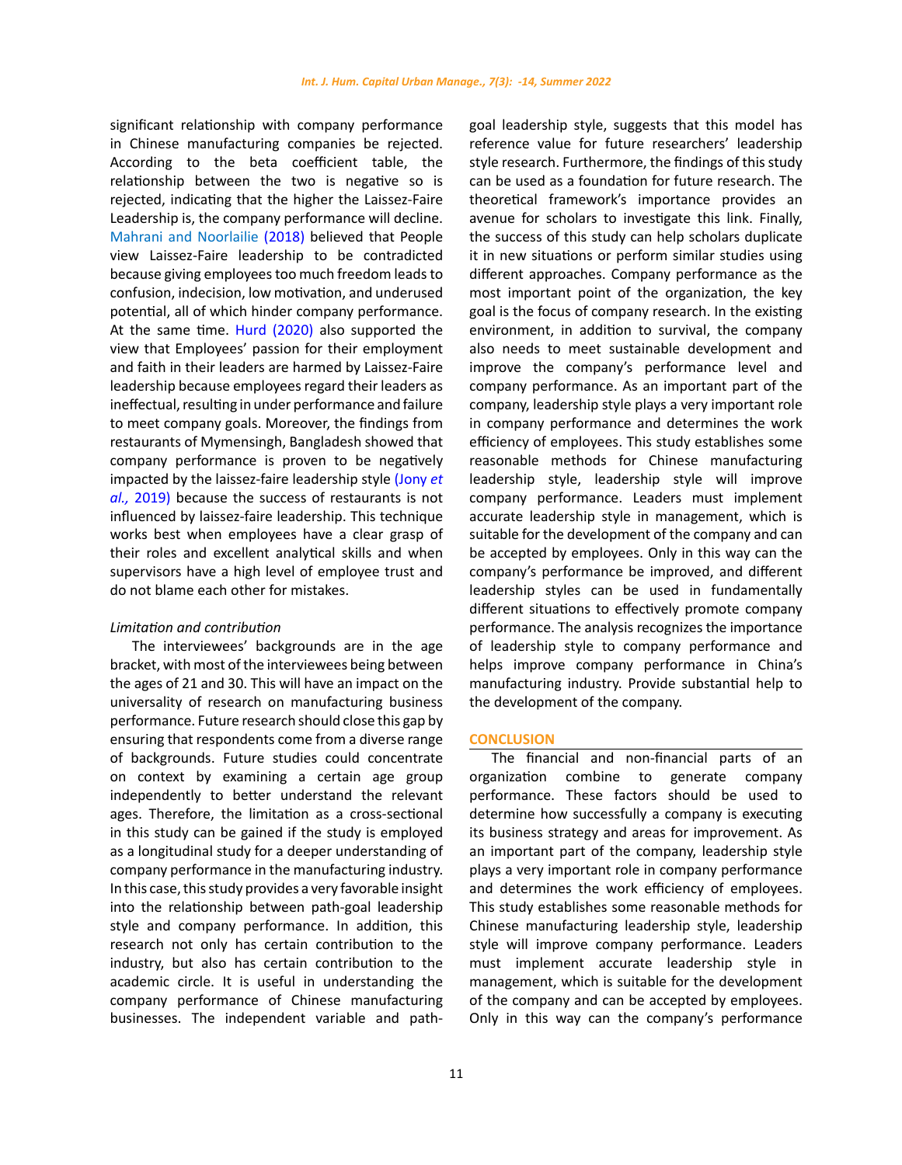significant relationship with company performance in Chinese manufacturing companies be rejected. According to the beta coefficient table, the relationship between the two is negative so is rejected, indicating that the higher the Laissez-Faire Leadership is, the company performance will decline. Mahrani and Noorlailie (2018) believed that People view Laissez-Faire leadership to be contradicted because giving employees too much freedom leads to confusion, indecision, low motivation, and underused potential, all of which hinder company performance. At the same time. Hurd (2020) also supported the view that Employees' passion for their employment and faith in their leaders are harmed by Laissez-Faire leadership because employees regard their leaders as ineffectual, resulting in under performance and failure to meet company goals. Moreover, the findings from restaurants of Mymensingh, Bangladesh showed that company performance is proven to be negatively impacted by the laissez-faire leadership style (Jony *et al.,* 2019) because the success of restaurants is not influenced by laissez-faire leadership. This technique works best when employees have a clear grasp of their roles and excellent analytical skills and when supervisors have a high level of employee trust and do not blame each other for mistakes.

#### *Limitation and contribution*

The interviewees' backgrounds are in the age bracket, with most of the interviewees being between the ages of 21 and 30. This will have an impact on the universality of research on manufacturing business performance. Future research should close this gap by ensuring that respondents come from a diverse range of backgrounds. Future studies could concentrate on context by examining a certain age group independently to better understand the relevant ages. Therefore, the limitation as a cross-sectional in this study can be gained if the study is employed as a longitudinal study for a deeper understanding of company performance in the manufacturing industry. In this case, this study provides a very favorable insight into the relationship between path-goal leadership style and company performance. In addition, this research not only has certain contribution to the industry, but also has certain contribution to the academic circle. It is useful in understanding the company performance of Chinese manufacturing businesses. The independent variable and pathgoal leadership style, suggests that this model has reference value for future researchers' leadership style research. Furthermore, the findings of this study can be used as a foundation for future research. The theoretical framework's importance provides an avenue for scholars to investigate this link. Finally, the success of this study can help scholars duplicate it in new situations or perform similar studies using different approaches. Company performance as the most important point of the organization, the key goal is the focus of company research. In the existing environment, in addition to survival, the company also needs to meet sustainable development and improve the company's performance level and company performance. As an important part of the company, leadership style plays a very important role in company performance and determines the work efficiency of employees. This study establishes some reasonable methods for Chinese manufacturing leadership style, leadership style will improve company performance. Leaders must implement accurate leadership style in management, which is suitable for the development of the company and can be accepted by employees. Only in this way can the company's performance be improved, and different leadership styles can be used in fundamentally different situations to effectively promote company performance. The analysis recognizes the importance of leadership style to company performance and helps improve company performance in China's manufacturing industry. Provide substantial help to the development of the company.

## **CONCLUSION**

The financial and non-financial parts of an organization combine to generate company performance. These factors should be used to determine how successfully a company is executing its business strategy and areas for improvement. As an important part of the company, leadership style plays a very important role in company performance and determines the work efficiency of employees. This study establishes some reasonable methods for Chinese manufacturing leadership style, leadership style will improve company performance. Leaders must implement accurate leadership style in management, which is suitable for the development of the company and can be accepted by employees. Only in this way can the company's performance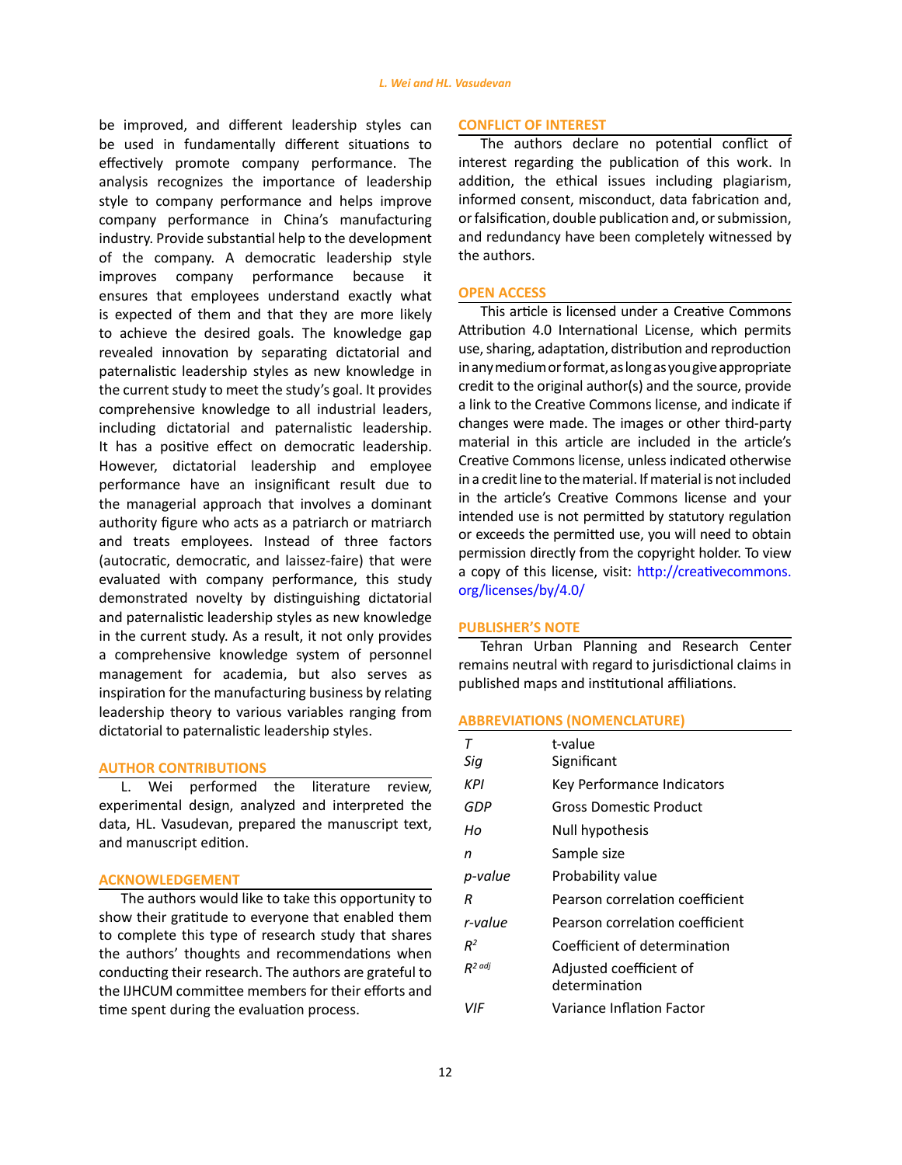be improved, and different leadership styles can be used in fundamentally different situations to effectively promote company performance. The analysis recognizes the importance of leadership style to company performance and helps improve company performance in China's manufacturing industry. Provide substantial help to the development of the company. A democratic leadership style improves company performance because it ensures that employees understand exactly what is expected of them and that they are more likely to achieve the desired goals. The knowledge gap revealed innovation by separating dictatorial and paternalistic leadership styles as new knowledge in the current study to meet the study's goal. It provides comprehensive knowledge to all industrial leaders, including dictatorial and paternalistic leadership. It has a positive effect on democratic leadership. However, dictatorial leadership and employee performance have an insignificant result due to the managerial approach that involves a dominant authority figure who acts as a patriarch or matriarch and treats employees. Instead of three factors (autocratic, democratic, and laissez-faire) that were evaluated with company performance, this study demonstrated novelty by distinguishing dictatorial and paternalistic leadership styles as new knowledge in the current study. As a result, it not only provides a comprehensive knowledge system of personnel management for academia, but also serves as inspiration for the manufacturing business by relating leadership theory to various variables ranging from dictatorial to paternalistic leadership styles.

# **AUTHOR CONTRIBUTIONS**

L. Wei performed the literature review, experimental design, analyzed and interpreted the data, HL. Vasudevan, prepared the manuscript text, and manuscript edition.

## **ACKNOWLEDGEMENT**

The authors would like to take this opportunity to show their gratitude to everyone that enabled them to complete this type of research study that shares the authors' thoughts and recommendations when conducting their research. The authors are grateful to the IJHCUM committee members for their efforts and time spent during the evaluation process.

#### **CONFLICT OF INTEREST**

The authors declare no potential conflict of interest regarding the publication of this work. In addition, the ethical issues including plagiarism, informed consent, misconduct, data fabrication and, or falsification, double publication and, or submission, and redundancy have been completely witnessed by the authors.

#### **OPEN ACCESS**

This article is licensed under a Creative Commons Attribution 4.0 International License, which permits use, sharing, adaptation, distribution and reproduction in any medium or format, as long as you give appropriate credit to the original author(s) and the source, provide a link to the Creative Commons license, and indicate if changes were made. The images or other third-party material in this article are included in the article's Creative Commons license, unless indicated otherwise in a credit line to the material. If material is not included in the article's Creative Commons license and your intended use is not permitted by statutory regulation or exceeds the permitted use, you will need to obtain permission directly from the copyright holder. To view a copy of this license, visit: [http://creativecommons.](http://creativecommons.org/licenses/by/4.0/ ) [org/licenses/by/4.0/](http://creativecommons.org/licenses/by/4.0/ )

#### **PUBLISHER'S NOTE**

Tehran Urban Planning and Research Center remains neutral with regard to jurisdictional claims in published maps and institutional affiliations.

#### **ABBREVIATIONS (NOMENCLATURE)**

| т         | t-value                                  |
|-----------|------------------------------------------|
| Siq       | Significant                              |
| KPI       | Key Performance Indicators               |
| GDP       | Gross Domestic Product                   |
| Ho        | Null hypothesis                          |
| n         | Sample size                              |
| p-value   | Probability value                        |
| R         | Pearson correlation coefficient          |
| r-value   | Pearson correlation coefficient          |
| $R^2$     | Coefficient of determination             |
| $R^2$ adj | Adjusted coefficient of<br>determination |
| VIF       | Variance Inflation Factor                |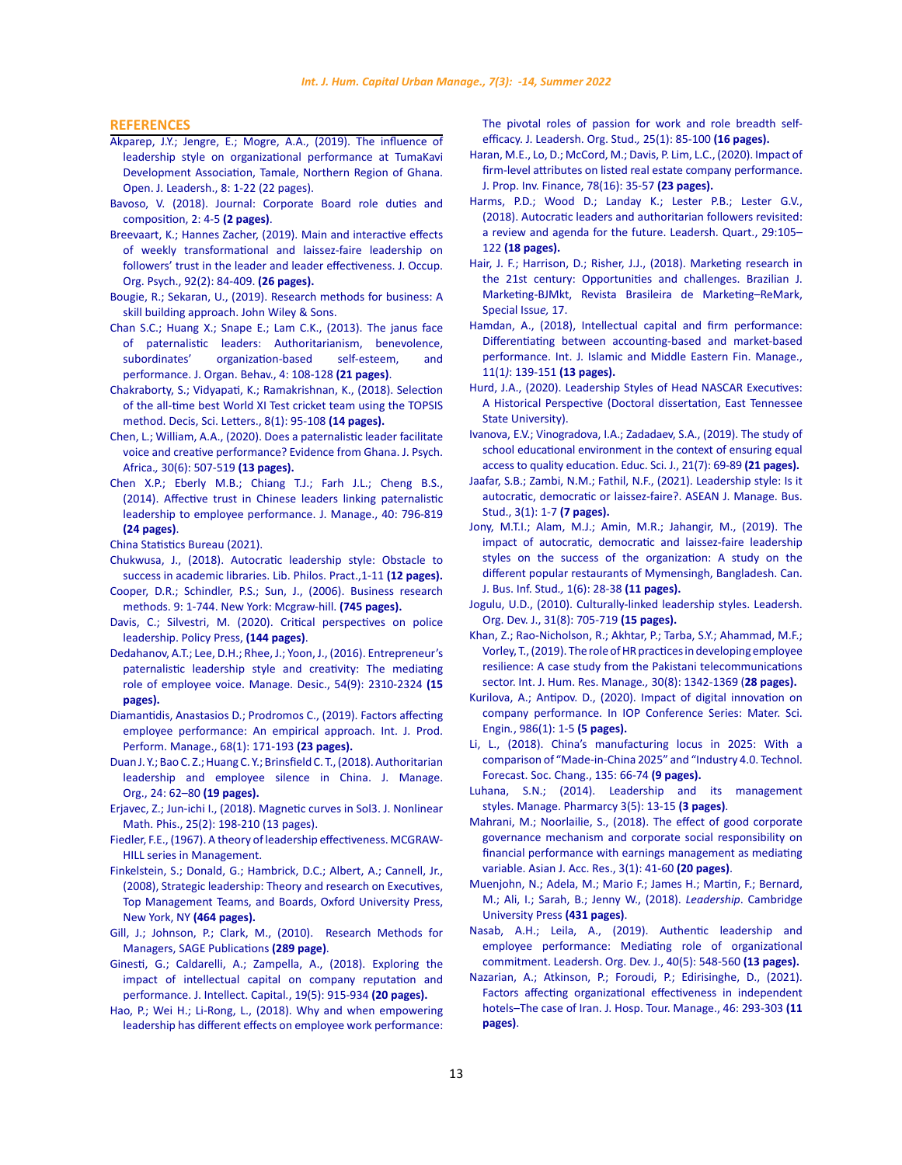#### **REFERENCES**

- [Akparep, J.Y.; Jengre, E.; Mogre, A.A., \(2019\). The influence of](http://www.scirp.org/journal/ojl)  [leadership style on organizational performance at TumaKavi](http://www.scirp.org/journal/ojl)  [Development Association, Tamale, Northern Region of Ghana.](http://www.scirp.org/journal/ojl)  [Open. J. Leadersh., 8: 1-22 \(22 pages\).](http://www.scirp.org/journal/ojl)
- [Bavoso, V. \(2018\). Journal: Corporate Board role duties and](https://ouci.dntb.gov.ua/en/works/7XABnyr4/)  [composition, 2: 4-5](https://ouci.dntb.gov.ua/en/works/7XABnyr4/) **(2 pages)**.
- Breevaart, K.; Hannes Zacher, (2019). Main and interactive effects of weekly transformational and laissez‐faire leadership on followers' trust in the leader and leader effectiveness. J. Occup. Org. Psych., 92(2): 84-409. **(26 pages).**
- Bougie, R.; Sekaran, U., (2019). [Research methods for business: A](https://books.google.com.my/books?id=ikI6EAAAQBAJ&dq=Bougie,+R.%3B+Sekaran,+U.,+(2019).&source=gbs_navlinks_s (433 pages))  [skill building approach. John Wiley & Sons.](https://books.google.com.my/books?id=ikI6EAAAQBAJ&dq=Bougie,+R.%3B+Sekaran,+U.,+(2019).&source=gbs_navlinks_s (433 pages))
- [Chan S.C.; Huang X.; Snape E.; Lam C.K., \(2013\).](https://onlinelibrary.wiley.com/doi/abs/10.1002/job.1797) The janus face [of paternalistic leaders: Authoritarianism, benevolence,](https://onlinelibrary.wiley.com/doi/abs/10.1002/job.1797)  [subordinates' organization-based self-esteem, and](https://onlinelibrary.wiley.com/doi/abs/10.1002/job.1797)  performance. [J. Organ. Behav.,](https://onlinelibrary.wiley.com/doi/abs/10.1002/job.1797) 4: 108-128 **(21 pages)**.
- [Chakraborty, S.; Vidyapati, K.; Ramakrishnan, K., \(2018\). Selection](http://m.growingscience.com/beta/dsl/2817-selection-of-the-all-time-best-world-xi-test-cricket-team-using-the-topsis-method.html)  [of the all-time best World XI Test cricket team using the TOPSIS](http://m.growingscience.com/beta/dsl/2817-selection-of-the-all-time-best-world-xi-test-cricket-team-using-the-topsis-method.html)  [method. Decis, Sci. Letters.,](http://m.growingscience.com/beta/dsl/2817-selection-of-the-all-time-best-world-xi-test-cricket-team-using-the-topsis-method.html) 8(1): 95-108 **(14 pages).**
- Chen, L.; William, A.A., (2020). Does a paternalistic leader facilitate voice and creative performance? Evidence from Ghana. J. Psych. Africa.*,* 30(6): 507-519 **(13 pages).**
- Chen X.P.; Eberly M.B.; Chiang T.J.; Farh J.L.; Cheng B.S., (2014). Affective trust in Chinese leaders linking paternalistic leadership to employee performance. J. Manage., 40: 796-819 **(24 pages)**.
- [China Statistics Bureau \(2021\).](https://www.tandfonline.com/doi/abs/10.1080/15387216.2014.908312)
- [Chukwusa, J., \(2018\). Autocratic leadership style: Obstacle to](http://digitalcommons.unl.edu/libphilprac)  [success in academic libraries.](http://digitalcommons.unl.edu/libphilprac) Lib. Philos. Pract.,1-11 **(12 pages).**
- [Cooper, D.R.; Schindler, P.S.; Sun, J., \(2006\). Business research](http://sutlib2.sut.ac.th/sut_contents/H139963.pdf)  [methods. 9: 1-744. New York: Mcgraw-hill.](http://sutlib2.sut.ac.th/sut_contents/H139963.pdf) **(745 pages).**
- [Davis, C.; Silvestri, M. \(2020\).](https://books.google.com.my/books?id=r1jUDwAAQBAJ&dq=Davis,+C.%3B+Marisa+Silvestri.,+(2020).+&lr=&source=gbs_navlinks_s-) Critical perspectives on police [leadership. Policy Press,](https://books.google.com.my/books?id=r1jUDwAAQBAJ&dq=Davis,+C.%3B+Marisa+Silvestri.,+(2020).+&lr=&source=gbs_navlinks_s-) **(144 pages)**.
- [Dedahanov, A.T.; Lee, D.H.; Rhee, J.; Yoon, J., \(2016\). Entrepreneur's](https://www.emerald.com/insight/content/doi/10.1108/MD-11-2015-0537/full/html)  [paternalistic leadership style and creativity: The mediating](https://www.emerald.com/insight/content/doi/10.1108/MD-11-2015-0537/full/html)  [role of employee voice. Manage. Desic., 54\(9\): 2310-2324](https://www.emerald.com/insight/content/doi/10.1108/MD-11-2015-0537/full/html) **(15 [pages\).](https://www.emerald.com/insight/content/doi/10.1108/MD-11-2015-0537/full/html)**
- [Diamantidis, Anastasios D.; Prodromos C., \(2019\). Factors affecting](https://www.emerald.com/insight/content/doi/10.1108/IJPPM-01-2018-0012/full/html)  [employee performance: An empirical approach.](https://www.emerald.com/insight/content/doi/10.1108/IJPPM-01-2018-0012/full/html) Int. J. Prod. [Perform. Manage., 68\(1\): 171-193](https://www.emerald.com/insight/content/doi/10.1108/IJPPM-01-2018-0012/full/html) **(23 pages).**
- Duan J. Y.; Bao C. Z.; Huang C. Y.; Brinsfield C. T., (2018). Authoritarian [leadership and employee silence in China.](https://www.cambridge.org/core/journals/journal-of-management-and-organization/article/abs/authoritarian-leadership-and-employee-silence-in-china/7BA708133A7360F1BA41CDE596F2E16C) J. Manage. Org., 24: 62–80 **[\(19 pages\).](https://www.cambridge.org/core/journals/journal-of-management-and-organization/article/abs/authoritarian-leadership-and-employee-silence-in-china/7BA708133A7360F1BA41CDE596F2E16C)**
- [Erjavec, Z.; Jun-ichi I., \(2018\). Magnetic curves in Sol3.](https://www.tandfonline.com/loi/tnmp20) J. Nonlinear Math. Phis., [25\(2\): 198-210 \(13 pages\).](https://www.tandfonline.com/loi/tnmp20)
- [Fiedler, F.E., \(1967\). A theory of leadership effectiveness. MCGRAW-](https://eric.ed.gov/?id=ED015354)[HILL series in Management.](https://eric.ed.gov/?id=ED015354)
- [Finkelstein, S.; Donald, G.; Hambrick, D.C.; Albert, A.; Cannell, Jr.,](https://books.google.com.my/books?id=8w1s60UhaU4C&printsec=frontcover#v=onepage&q&f=false)  [\(2008\), Strategic leadership: Theory and research on Executives,](https://books.google.com.my/books?id=8w1s60UhaU4C&printsec=frontcover#v=onepage&q&f=false)  [Top Management Teams, and Boards, Oxford University Press,](https://books.google.com.my/books?id=8w1s60UhaU4C&printsec=frontcover#v=onepage&q&f=false)  [New York, NY](https://books.google.com.my/books?id=8w1s60UhaU4C&printsec=frontcover#v=onepage&q&f=false) **(464 pages).**
- Gill, J.; Johnson, P.; Clark, M., (2010). Research Methods for Managers, SAGE Publications **(289 page)**.
- [Ginesti, G.; Caldarelli, A.; Zampella, A., \(2018\). Exploring the](https://www.emerald.com/insight/content/doi/10.1108/JIC-01-2018-0012/full/html)  [impact of intellectual capital on company reputation and](https://www.emerald.com/insight/content/doi/10.1108/JIC-01-2018-0012/full/html)  performance. [J. Intellect. Capital](https://www.emerald.com/insight/content/doi/10.1108/JIC-01-2018-0012/full/html)*.*, 19(5): 915-934 **(20 pages).**
- [Hao, P.; Wei H.; Li-Rong, L., \(2018\). Why and when empowering](https://journals.sagepub.com/doi/abs/10.1177/1548051817707517)  [leadership has different effects on employee work performance:](https://journals.sagepub.com/doi/abs/10.1177/1548051817707517)

[The pivotal roles of passion for work and role breadth self](https://journals.sagepub.com/doi/abs/10.1177/1548051817707517)efficacy. [J. Leadersh. Org. Stud.](https://journals.sagepub.com/doi/abs/10.1177/1548051817707517)*,* 25(1): 85-100 **(16 pages).**

- [Haran, M.E., Lo, D.; McCord, M.; Davis, P. Lim, L.C., \(2020\). Impact of](https://www.emerald.com/insight/content/doi/10.1108/JPIF-03-2020-0030/full/html) [firm-level attributes on listed real estate company performance.](https://www.emerald.com/insight/content/doi/10.1108/JPIF-03-2020-0030/full/html) [J. Prop. Inv. Finance,](https://www.emerald.com/insight/content/doi/10.1108/JPIF-03-2020-0030/full/html) 78(16): 35-57 **(23 pages).**
- [Harms, P.D.; Wood D.; Landay K.; Lester P.B.; Lester G.V.,](https://www.sciencedirect.com/science/article/pii/S1048984317300814) (2018). [Autocratic leaders and authoritarian followers revisited:](https://www.sciencedirect.com/science/article/pii/S1048984317300814) [a review and agenda for the future.](https://www.sciencedirect.com/science/article/pii/S1048984317300814) Leadersh. Quart., 29:105– 122 **[\(18 pages\).](https://www.sciencedirect.com/science/article/pii/S1048984317300814)**
- [Hair, J. F.; Harrison, D.; Risher, J.J., \(2018\). Marketing research in](https://journals.sagepub.com/doi/abs/10.1509/jim.17.0151) [the 21st century: Opportunities and challenges.](https://journals.sagepub.com/doi/abs/10.1509/jim.17.0151) Brazilian J. [Marketing-BJMkt, Revista Brasileira de Marketing–ReMark,](https://journals.sagepub.com/doi/abs/10.1509/jim.17.0151) [Special Issu](https://journals.sagepub.com/doi/abs/10.1509/jim.17.0151)*e,* 17.
- [Hamdan, A., \(2018\), Intellectual capital and firm performance:](https://www.emerald.com/insight/content/doi/10.1108/IMEFM-02-2017-0053/full/html) [Differentiating between accounting-based and market-based](https://www.emerald.com/insight/content/doi/10.1108/IMEFM-02-2017-0053/full/html) [performance. Int. J. Islamic and Middle Eastern Fin. Manage.,](https://www.emerald.com/insight/content/doi/10.1108/IMEFM-02-2017-0053/full/html) 11(1*)*: 139-151 **[\(13 pages\).](https://www.emerald.com/insight/content/doi/10.1108/IMEFM-02-2017-0053/full/html)**
- [Hurd, J.A., \(2020\). Leadership Styles of Head NASCAR Executives:](https://dc.etsu.edu/etd/3705) [A Historical Perspective \(Doctoral dissertation, East Tennessee](https://dc.etsu.edu/etd/3705) [State University\).](https://dc.etsu.edu/etd/3705)
- Ivanova, E.V.; Vinogradova, I.A.; Zadadaev, S.A., (2019). The study of school educational environment in the context of ensuring equal access to quality education. Educ. Sci. J., 21(7): 69-89 **(21 pages).**
- [Jaafar, S.B.; Zambi, N.M.; Fathil, N.F., \(2021\). Leadership style: Is it](https://www.ajmbsjournal.com/uploads/1/2/7/5/127551902/30012021-ajmbs-01-07.pdf) [autocratic, democratic or laissez-faire?. ASEAN J. Manage. Bus.](https://www.ajmbsjournal.com/uploads/1/2/7/5/127551902/30012021-ajmbs-01-07.pdf) [Stud., 3\(1\): 1-7](https://www.ajmbsjournal.com/uploads/1/2/7/5/127551902/30012021-ajmbs-01-07.pdf) **(7 pages).**
- [Jony, M.T.I.; Alam, M.J.; Amin, M.R.; Jahangir, M., \(2019\). The](https://universepg.com/public/storage/journal-pdf/Jony MT_2019.pdf) [impact of autocratic, democratic and laissez-faire leadership](https://universepg.com/public/storage/journal-pdf/Jony MT_2019.pdf) [styles on the success of the organization: A study on the](https://universepg.com/public/storage/journal-pdf/Jony MT_2019.pdf) [different popular restaurants of Mymensingh, Bangladesh.](https://universepg.com/public/storage/journal-pdf/Jony MT_2019.pdf) Can. [J. Bus. Inf. Stud](https://universepg.com/public/storage/journal-pdf/Jony MT_2019.pdf)*.,* 1(6): 28-38 **(11 pages).**
- [Jogulu, U.D., \(2010\). Culturally-linked leadership styles. Leadersh.](https://www.emerald.com/insight/content/doi/10.1108/01437731011094766/full/html) [Org. Dev. J., 31\(8\): 705-719](https://www.emerald.com/insight/content/doi/10.1108/01437731011094766/full/html) **(15 pages).**
- [Khan, Z.; Rao-Nicholson, R.; Akhtar, P.; Tarba, S.Y.; Ahammad, M.F.;](https://universepg.com/public/storage/journal-pdf/Jony MT_2019.pdf) [Vorley, T., \(2019\). The role of HR practices in developing employee](https://universepg.com/public/storage/journal-pdf/Jony MT_2019.pdf) [resilience: A case study from the Pakistani telecommunications](https://universepg.com/public/storage/journal-pdf/Jony MT_2019.pdf) sector. [Int. J. Hum. Res. Manage](https://universepg.com/public/storage/journal-pdf/Jony MT_2019.pdf)*.,* 30(8): 1342-1369 (**28 pages).**
- [Kurilova, A.; Antipov. D., \(2020\). Impact of digital innovation on](https://iopscience.iop.org/article/10.1088/1757-899X/986/1/012022/meta) company performance. In [IOP Conference Series: Mater. Sci.](https://iopscience.iop.org/article/10.1088/1757-899X/986/1/012022/meta) Engin*.*[, 986\(1\): 1-5](https://iopscience.iop.org/article/10.1088/1757-899X/986/1/012022/meta) **(5 pages).**
- [Li, L., \(2018\). China's manufacturing locus in 2025: With a](https://www.sciencedirect.com/science/article/abs/pii/S0040162517307254) [comparison of "Made-in-China 2025" and "Industry 4.0.](https://www.sciencedirect.com/science/article/abs/pii/S0040162517307254) Technol. [Forecast. Soc. Chang.,](https://www.sciencedirect.com/science/article/abs/pii/S0040162517307254) 135: 66-74 **(9 pages).**
- [Luhana, S.N.; \(2014\). Leadership and its management](http://www.raijmr.com/ijrmp/wp-content/uploads/2017/11/IJRMP_2014_vol03_issue_05_04.pdf) styles. [Manage. Pharmarcy](http://www.raijmr.com/ijrmp/wp-content/uploads/2017/11/IJRMP_2014_vol03_issue_05_04.pdf) 3(5): 13-15 **(3 pages)**.
- [Mahrani, M.; Noorlailie, S., \(2018\). The effect of good corporate](file://C:\Users\hemaloshinee.vasu\Downloads\Mahrani, M.; Noorlailie, S., (2018). The effect of good corporate governance mechanism and corporate social responsibility on financial performance with earnings management as mediating variable. Asian J. Acc. Res., 3(1): 41-60 (20 pages)) [governance mechanism and corporate social responsibility on](file://C:\Users\hemaloshinee.vasu\Downloads\Mahrani, M.; Noorlailie, S., (2018). The effect of good corporate governance mechanism and corporate social responsibility on financial performance with earnings management as mediating variable. Asian J. Acc. Res., 3(1): 41-60 (20 pages)) [financial performance with earnings management as mediating](file://C:\Users\hemaloshinee.vasu\Downloads\Mahrani, M.; Noorlailie, S., (2018). The effect of good corporate governance mechanism and corporate social responsibility on financial performance with earnings management as mediating variable. Asian J. Acc. Res., 3(1): 41-60 (20 pages)) variable. [Asian J. Acc. Res., 3\(1\): 41-60](file://C:\Users\hemaloshinee.vasu\Downloads\Mahrani, M.; Noorlailie, S., (2018). The effect of good corporate governance mechanism and corporate social responsibility on financial performance with earnings management as mediating variable. Asian J. Acc. Res., 3(1): 41-60 (20 pages)) **(20 pages)**.
- [Muenjohn, N.; Adela, M.; Mario F.; James H.; Martin, F.; Bernard,](https://books.google.com.my/books?id=8HlnDwAAQBAJ&printsec=frontcover#v=onepage&q&f=false) [M.; Ali, I.; Sarah, B.; Jenny W., \(2018\).](https://books.google.com.my/books?id=8HlnDwAAQBAJ&printsec=frontcover#v=onepage&q&f=false) *Leadership*. Cambridge [University Press](https://books.google.com.my/books?id=8HlnDwAAQBAJ&printsec=frontcover#v=onepage&q&f=false) **(431 pages)**.
- [Nasab, A.H.; Leila, A., \(2019\). Authentic leadership and](https://www.emerald.com/insight/content/doi/10.1108/LODJ-01-2019-0026/full/html) [employee performance: Mediating role of organizational](https://www.emerald.com/insight/content/doi/10.1108/LODJ-01-2019-0026/full/html) commitment. [Leadersh. Org. Dev. J., 40\(5\): 548-560](https://www.emerald.com/insight/content/doi/10.1108/LODJ-01-2019-0026/full/html) **(13 pages).**
- Nazarian, A.; Atkinson, P.; Foroudi, P.; Edirisinghe, D., (2021). Factors affecting organizational effectiveness in independent hotels–The case of Iran. J. Hosp. Tour. Manage., 46: 293-303 **(11 pages)**.